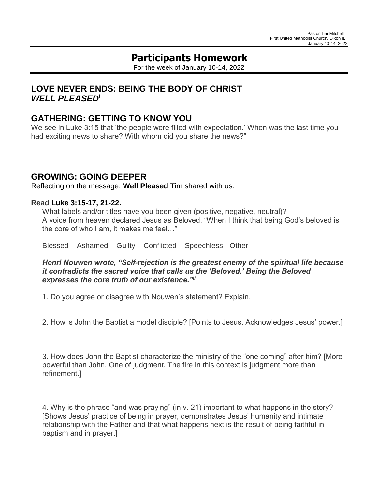# **Participants Homework**

For the week of January 10-14, 2022

### **LOVE NEVER ENDS: BEING THE BODY OF CHRIST** *WELL PLEASED<sup>i</sup>*

### **GATHERING: GETTING TO KNOW YOU**

We see in Luke 3:15 that 'the people were filled with expectation.' When was the last time you had exciting news to share? With whom did you share the news?"

#### **GROWING: GOING DEEPER**

Reflecting on the message: **Well Pleased** Tim shared with us.

#### **Read Luke [3:15-17,](https://lectionary.library.vanderbilt.edu/texts.php?id=95#hebrew_reading) 21-22.**

What labels and/or titles have you been given (positive, negative, neutral)? A voice from heaven declared Jesus as Beloved. "When I think that being God's beloved is the core of who I am, it makes me feel…"

Blessed – Ashamed – Guilty – Conflicted – Speechless - Other

*Henri Nouwen wrote, "Self-rejection is the greatest enemy of the spiritual life because it contradicts the sacred voice that calls us the 'Beloved.' Being the Beloved expresses the core truth of our existence."ii*

1. Do you agree or disagree with Nouwen's statement? Explain.

2. How is John the Baptist a model disciple? [Points to Jesus. Acknowledges Jesus' power.]

3. How does John the Baptist characterize the ministry of the "one coming" after him? [More powerful than John. One of judgment. The fire in this context is judgment more than refinement.]

4. Why is the phrase "and was praying" (in v. 21) important to what happens in the story? [Shows Jesus' practice of being in prayer, demonstrates Jesus' humanity and intimate relationship with the Father and that what happens next is the result of being faithful in baptism and in prayer.]